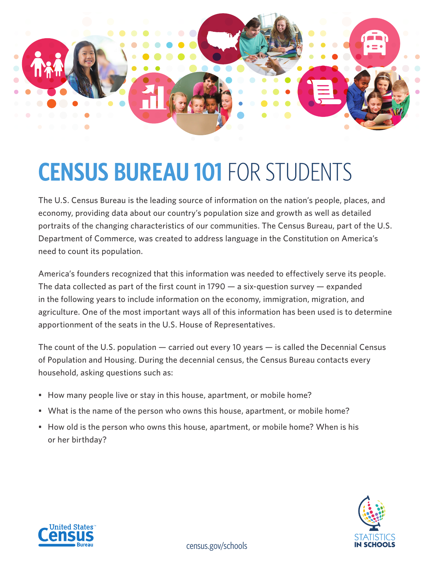

## **CENSUS BUREAU 101** FOR STUDENTS

The U.S. Census Bureau is the leading source of information on the nation's people, places, and economy, providing data about our country's population size and growth as well as detailed portraits of the changing characteristics of our communities. The Census Bureau, part of the U.S. Department of Commerce, was created to address language in the Constitution on America's need to count its population.

America's founders recognized that this information was needed to effectively serve its people. The data collected as part of the first count in  $1790 - a$  six-question survey  $-$  expanded in the following years to include information on the economy, immigration, migration, and agriculture. One of the most important ways all of this information has been used is to determine apportionment of the seats in the U.S. House of Representatives.

The count of the U.S. population — carried out every 10 years — is called the [Decennial Census](www.census.gov/programs-surveys/decennial-census.html)  [of Population and Housing.](www.census.gov/programs-surveys/decennial-census.html) During the decennial census, the Census Bureau contacts every household, asking questions such as:

- How many people live or stay in this house, apartment, or mobile home?
- What is the name of the person who owns this house, apartment, or mobile home?
- How old is the person who owns this house, apartment, or mobile home? When is his or her birthday?